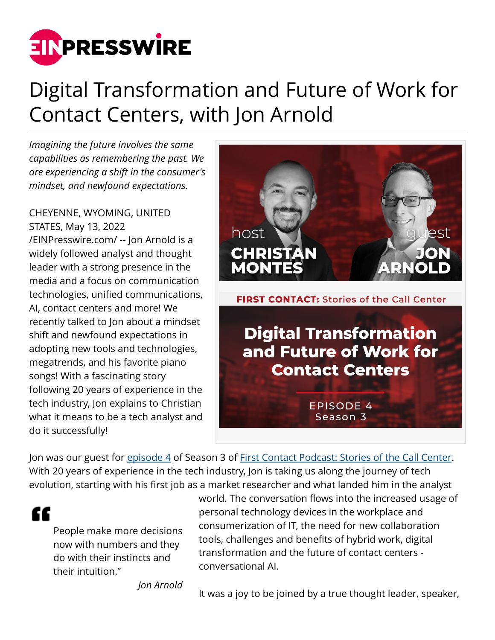

## Digital Transformation and Future of Work for Contact Centers, with Jon Arnold

*Imagining the future involves the same capabilities as remembering the past. We are experiencing a shift in the consumer's mindset, and newfound expectations.*

CHEYENNE, WYOMING, UNITED STATES, May 13, 2022

[/EINPresswire.com/](http://www.einpresswire.com) -- Jon Arnold is a widely followed analyst and thought leader with a strong presence in the media and a focus on communication technologies, unified communications, AI, contact centers and more! We recently talked to Jon about a mindset shift and newfound expectations in adopting new tools and technologies, megatrends, and his favorite piano songs! With a fascinating story following 20 years of experience in the tech industry, Jon explains to Christian what it means to be a tech analyst and do it successfully!



Jon was our guest for [episode 4](https://nobelbiz.com/digital-transformation-and-future-of-work-for-contact-centers-jon-arnold/) of Season 3 of [First Contact Podcast: Stories of the Call Center.](https://nobelbiz.com/first-contact-podcast/) With 20 years of experience in the tech industry, Jon is taking us along the journey of tech evolution, starting with his first job as a market researcher and what landed him in the analyst

"

People make more decisions now with numbers and they do with their instincts and their intuition."

world. The conversation flows into the increased usage of personal technology devices in the workplace and consumerization of IT, the need for new collaboration tools, challenges and benefits of hybrid work, digital transformation and the future of contact centers conversational AI.

*Jon Arnold*

It was a joy to be joined by a true thought leader, speaker,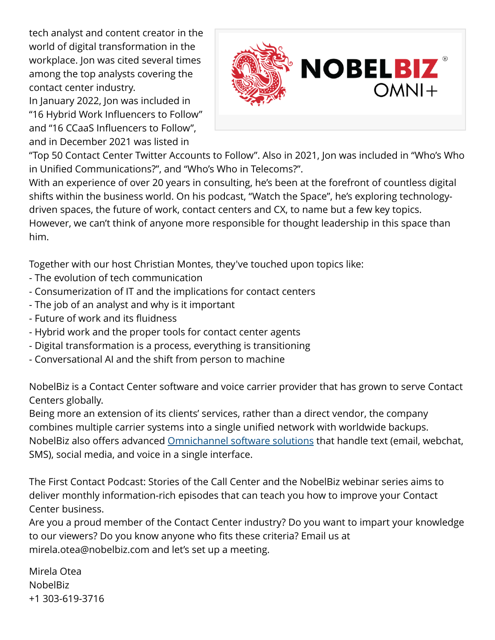tech analyst and content creator in the world of digital transformation in the workplace. Jon was cited several times among the top analysts covering the contact center industry.

In January 2022, Jon was included in "16 Hybrid Work Influencers to Follow" and "16 CCaaS Influencers to Follow", and in December 2021 was listed in



"Top 50 Contact Center Twitter Accounts to Follow". Also in 2021, Jon was included in "Who's Who in Unified Communications?", and "Who's Who in Telecoms?".

With an experience of over 20 years in consulting, he's been at the forefront of countless digital shifts within the business world. On his podcast, "Watch the Space", he's exploring technologydriven spaces, the future of work, contact centers and CX, to name but a few key topics. However, we can't think of anyone more responsible for thought leadership in this space than him.

Together with our host Christian Montes, they've touched upon topics like:

- The evolution of tech communication
- Consumerization of IT and the implications for contact centers
- The job of an analyst and why is it important
- Future of work and its fluidness
- Hybrid work and the proper tools for contact center agents
- Digital transformation is a process, everything is transitioning
- Conversational AI and the shift from person to machine

NobelBiz is a Contact Center software and voice carrier provider that has grown to serve Contact Centers globally.

Being more an extension of its clients' services, rather than a direct vendor, the company combines multiple carrier systems into a single unified network with worldwide backups. NobelBiz also offers advanced [Omnichannel software solutions](https://nobelbiz.com/technology/omni-plus-omnichannel-contact-center-solution/) that handle text (email, webchat, SMS), social media, and voice in a single interface.

The First Contact Podcast: Stories of the Call Center and the NobelBiz webinar series aims to deliver monthly information-rich episodes that can teach you how to improve your Contact Center business.

Are you a proud member of the Contact Center industry? Do you want to impart your knowledge to our viewers? Do you know anyone who fits these criteria? Email us at mirela.otea@nobelbiz.com and let's set up a meeting.

Mirela Otea NobelBiz +1 303-619-3716